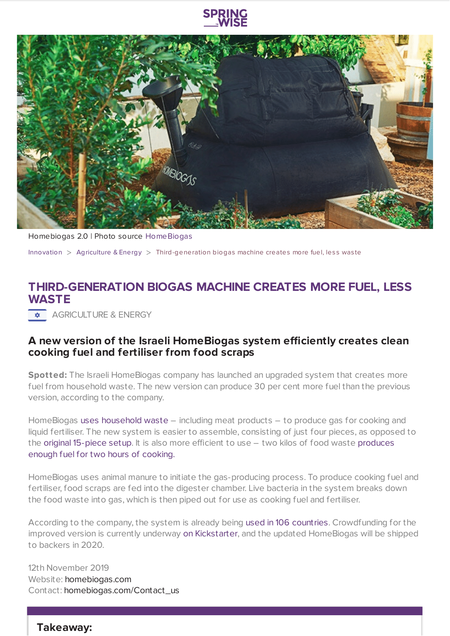



Homebiogas 2.0 | Photo source [HomeBiogas](https://www.kickstarter.com/projects/homebiogas/the-new-homebiogas-generation-clean-fuel-for-the-future?ref=a5o69b&token=10b21215&utm_source=facebook&utm_medium=cpc&utm_campaign=remarketing)

[Innovation](https://www.springwise.com/search?type=innovation)  $>$  [Agriculture](https://www.springwise.com/search?type=innovation§or=agriculture-energy) & Energy  $>$  Third-generation biogas machine creates more fuel, less was te

## **THIRD-GENERATION BIOGAS MACHINE CREATES MORE FUEL, LESS WASTE**

**AGRICULTURE & ENERGY** 

## **A new version of the Israeli HomeBiogas system efficiently creates clean cooking fuel and fertiliser from food scraps**

**Spotted:** The Israeli HomeBiogas company has launched an upgraded system that creates more fuel from household waste. The new version can produce 30 per cent more fuel than the previous version, according to the company.

HomeBiogas uses [household](https://www.youtube.com/watch?v=m0kvJmsughQ) waste – including meat products – to produce gas for cooking and liquid fertiliser. The new system is easier to assemble, consisting of just four pieces, as opposed to the original [15-piece](https://newatlas.com/energy/homebiogas-third-generation-30-percent-cooking-fuel/) setup. It is also more efficient to use – two kilos of food waste [produces](https://www.kickstarter.com/projects/homebiogas/the-new-homebiogas-generation-clean-fuel-for-the-future/description) enough fuel for two hours of cooking.

HomeBiogas uses animal manure to initiate the gas-producing process. To produce cooking fuel and fertiliser, food scraps are fed into the digester chamber. Live bacteria in the system breaks down the food waste into gas, which is then piped out for use as cooking fuel and fertiliser.

According to the company, the system is already being used in 106 [countries](https://www.kickstarter.com/projects/homebiogas/the-new-homebiogas-generation-clean-fuel-for-the-future/description). Crowdfunding for the improved version is currently underway on [Kickstarter](https://www.kickstarter.com/projects/homebiogas/the-new-homebiogas-generation-clean-fuel-for-the-future/description), and the updated HomeBiogas will be shipped to backers in 2020.

12th November 2019 Website: [homebiogas.com](https://www.homebiogas.com/) Contact: [homebiogas.com/Contact\\_us](https://www.homebiogas.com/Contact_us)

**Takeaway:**